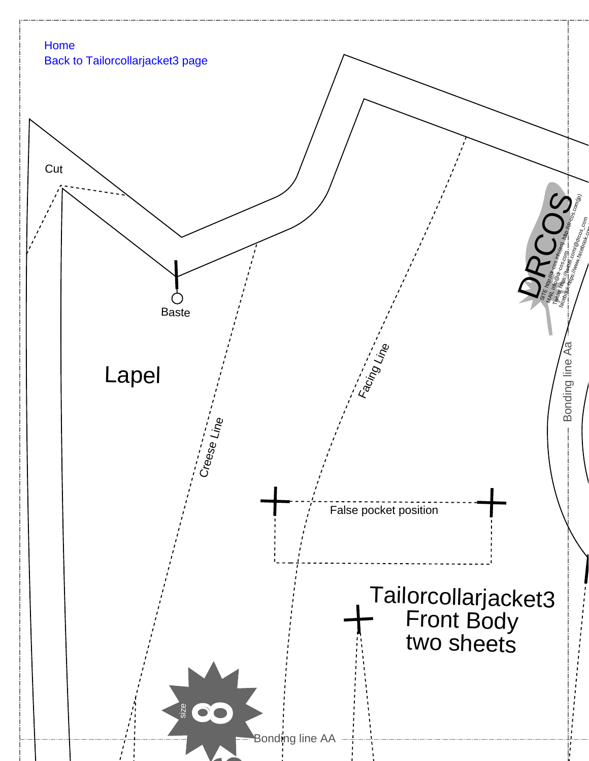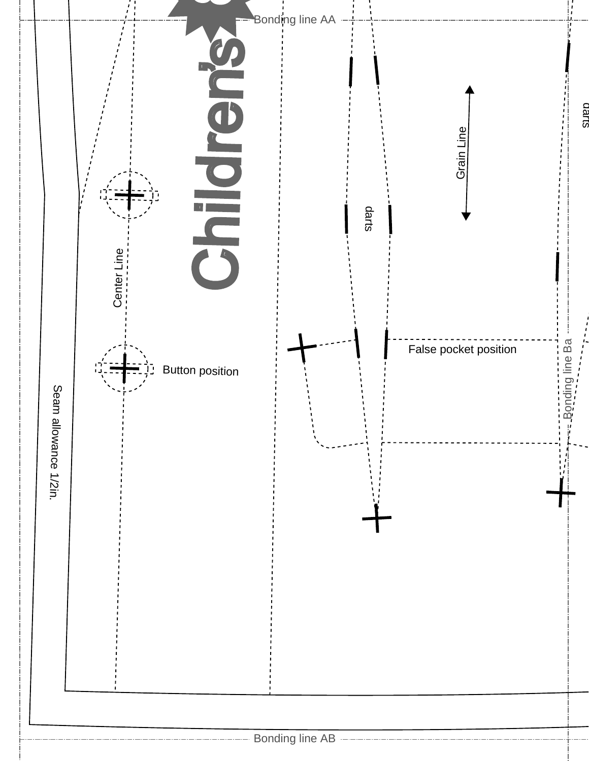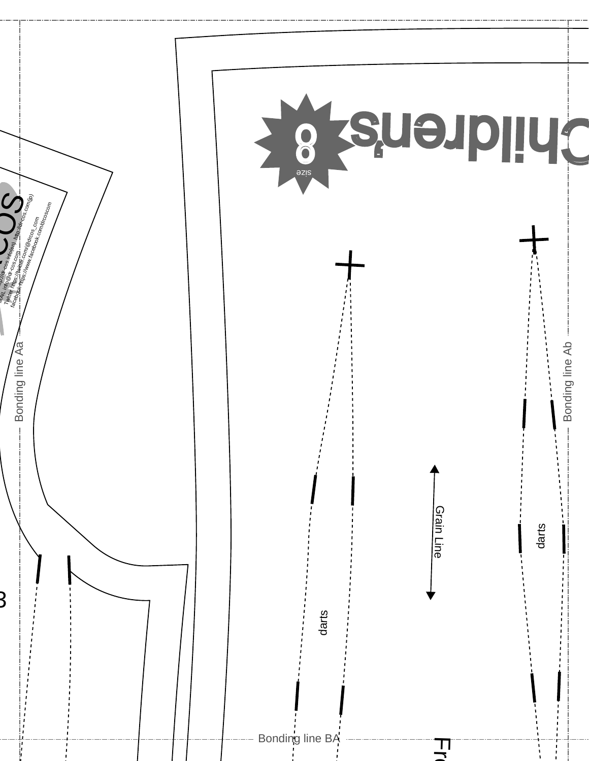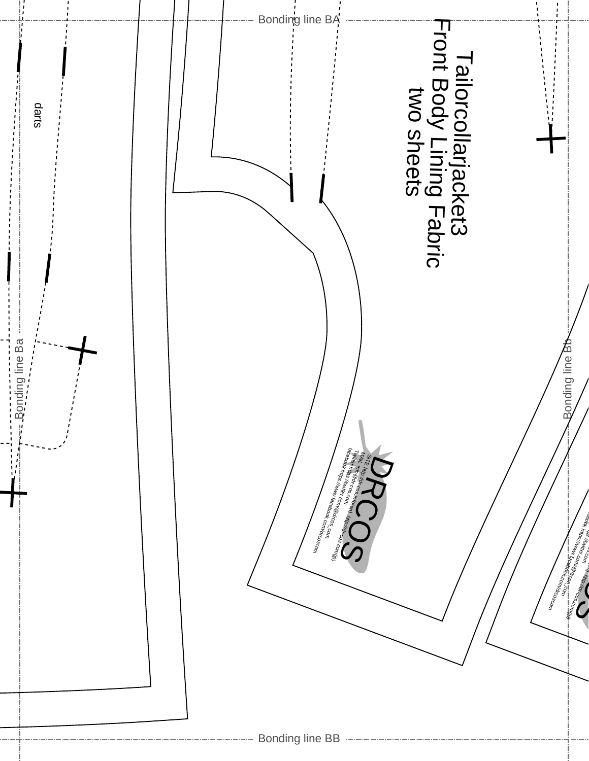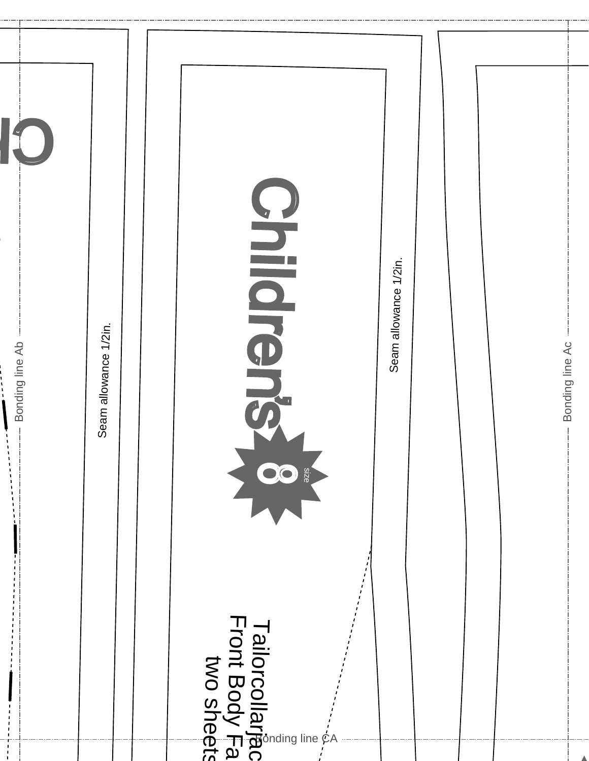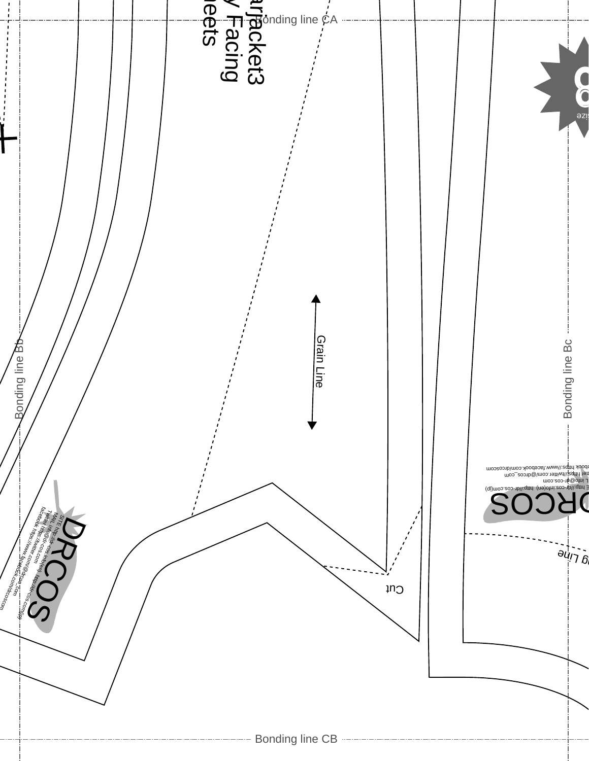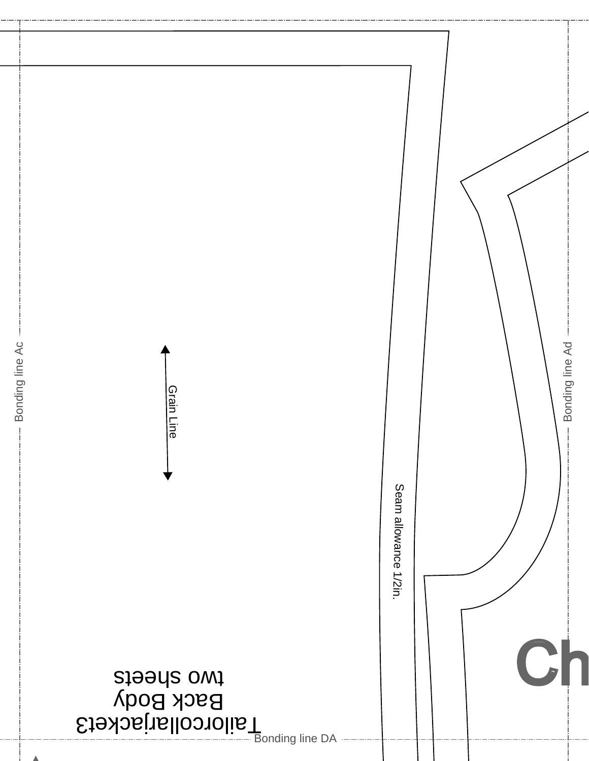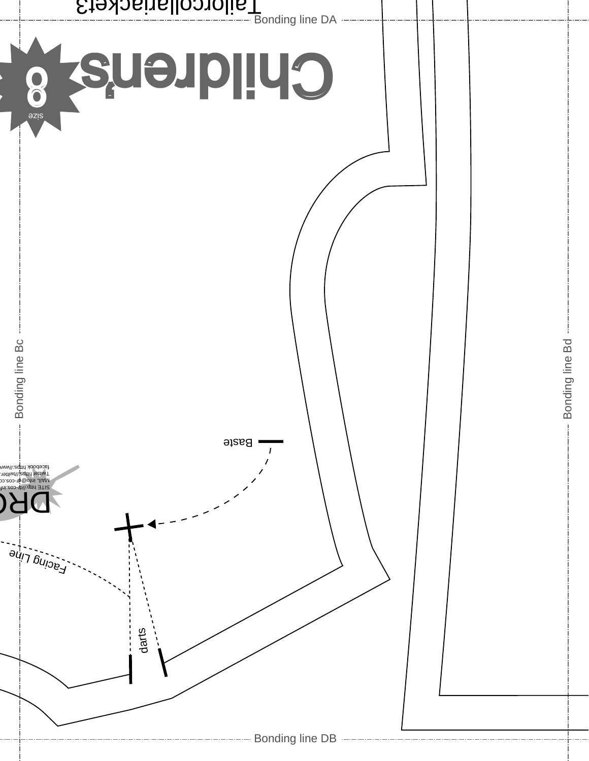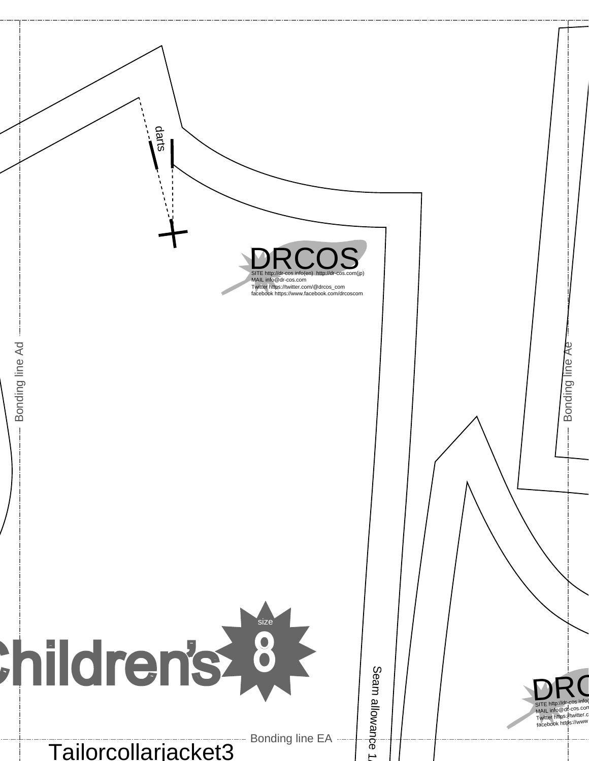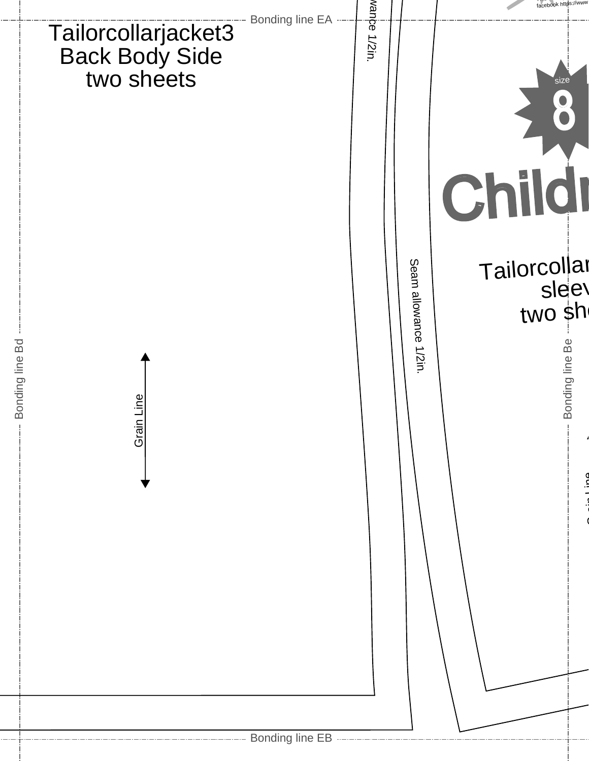|                                                     |                                                        | wanpe  |                      | facebook https://www                                               |
|-----------------------------------------------------|--------------------------------------------------------|--------|----------------------|--------------------------------------------------------------------|
| Tailorcollarjacket3<br>Back Body Side<br>two sheets | Bonding line EA ----                                   | 1/2in. |                      | size<br>Childi                                                     |
| Bonding line Bd<br>Grain Line<br>$\mathbb{L}$       |                                                        |        | Seam allowance 1/2in | Tailorcollar<br>sleev<br>two sh<br>Bonding line Be<br>$\mathbb{L}$ |
|                                                     |                                                        |        |                      |                                                                    |
|                                                     | -------------- Bonding line EB ----------------------- |        |                      |                                                                    |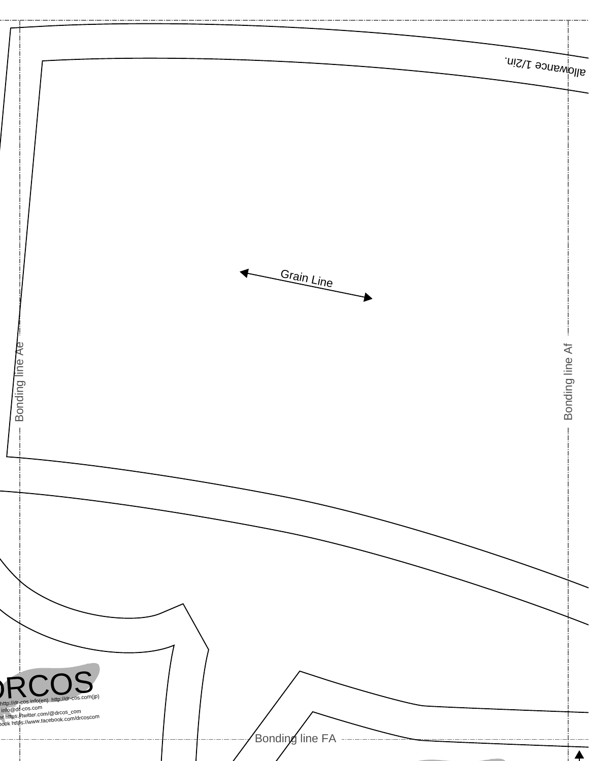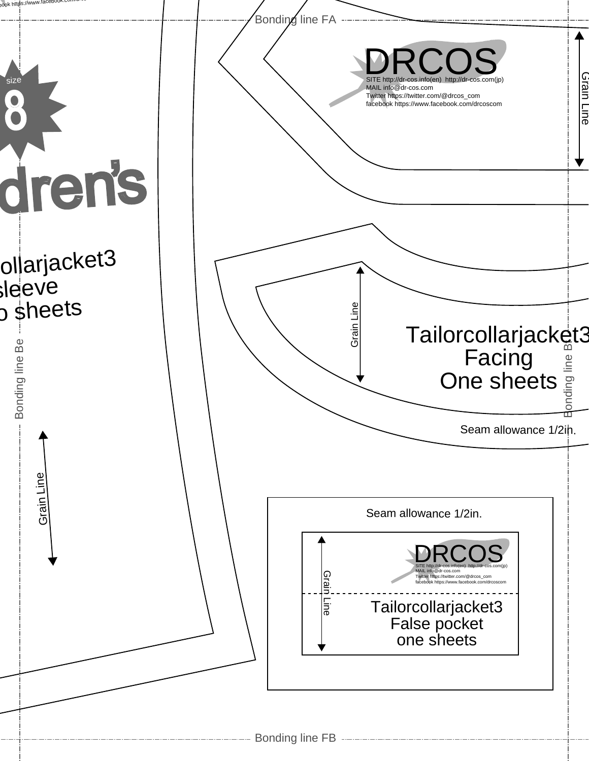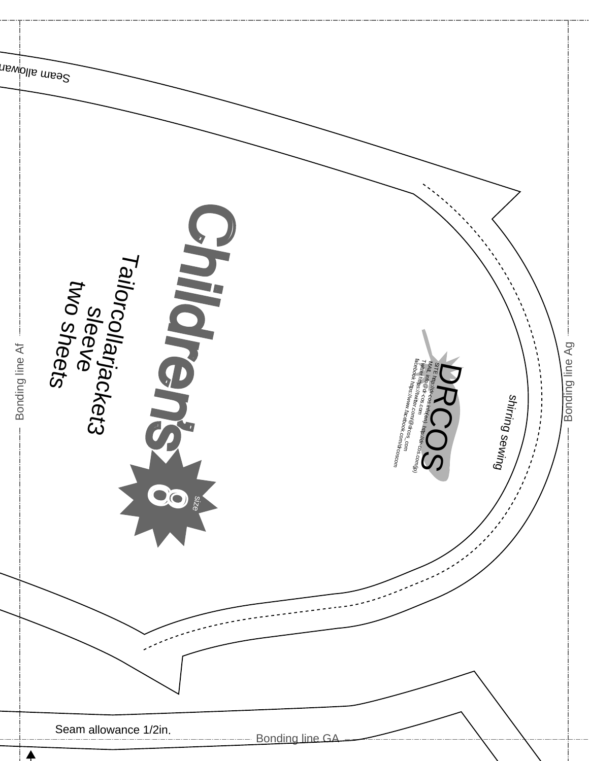